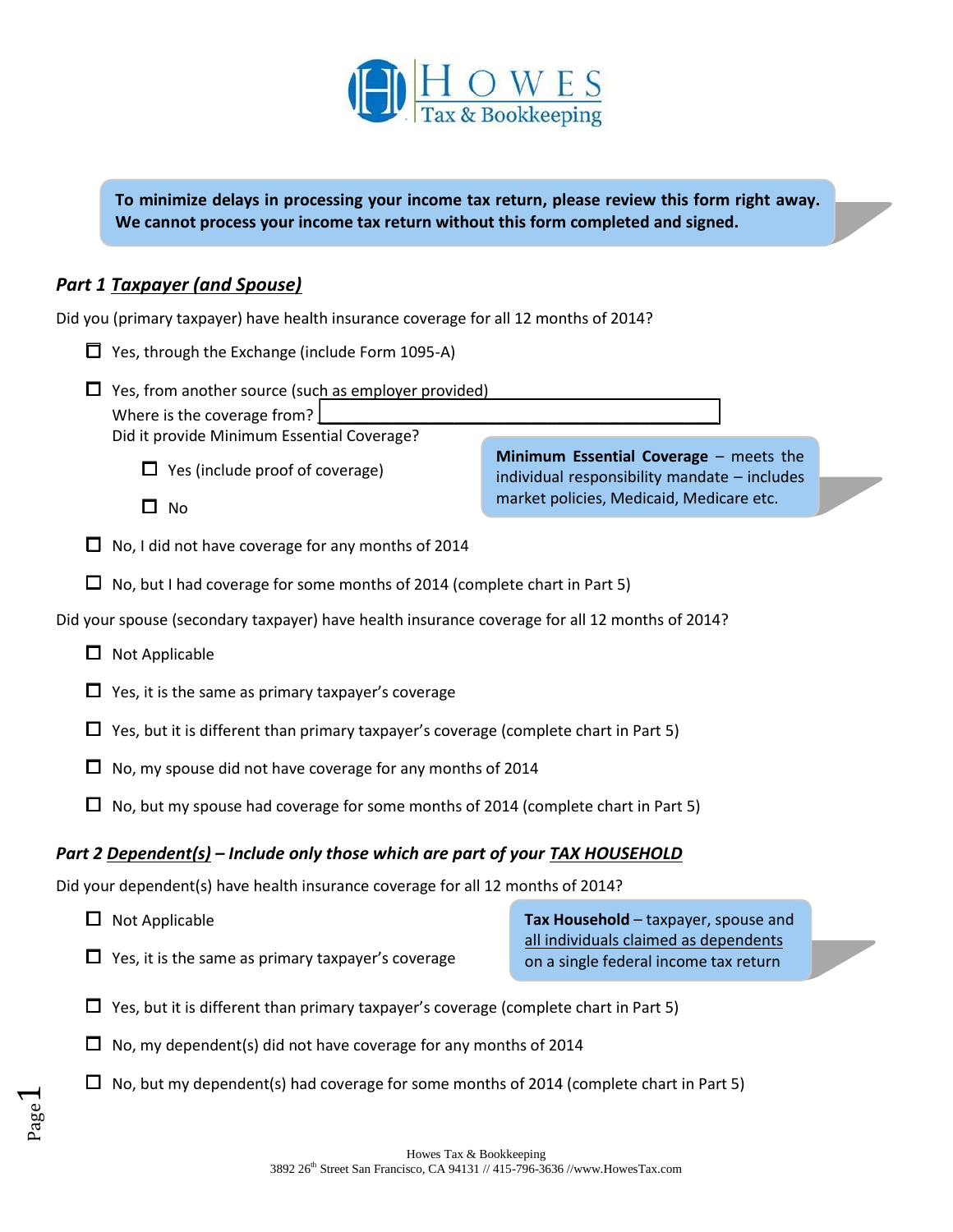

**To minimize delays in processing your income tax return, please review this form right away. We cannot process your income tax return without this form completed and signed.**

# *Part 1 Taxpayer (and Spouse)*

Page  $\overline{\phantom{0}}$ 

| Did you (primary taxpayer) have health insurance coverage for all 12 months of 2014? |                                                                                                                                          |                                                                                                                                    |  |  |  |  |  |  |
|--------------------------------------------------------------------------------------|------------------------------------------------------------------------------------------------------------------------------------------|------------------------------------------------------------------------------------------------------------------------------------|--|--|--|--|--|--|
|                                                                                      | $\Box$ Yes, through the Exchange (include Form 1095-A)                                                                                   |                                                                                                                                    |  |  |  |  |  |  |
|                                                                                      | $\Box$ Yes, from another source (such as employer provided)<br>Where is the coverage from?<br>Did it provide Minimum Essential Coverage? |                                                                                                                                    |  |  |  |  |  |  |
|                                                                                      | $\Box$ Yes (include proof of coverage)                                                                                                   | Minimum Essential Coverage - meets the<br>individual responsibility mandate - includes<br>market policies, Medicaid, Medicare etc. |  |  |  |  |  |  |
|                                                                                      | □<br><b>No</b>                                                                                                                           |                                                                                                                                    |  |  |  |  |  |  |
| ப                                                                                    | No, I did not have coverage for any months of 2014                                                                                       |                                                                                                                                    |  |  |  |  |  |  |
| ப                                                                                    | No, but I had coverage for some months of 2014 (complete chart in Part 5)                                                                |                                                                                                                                    |  |  |  |  |  |  |
|                                                                                      | Did your spouse (secondary taxpayer) have health insurance coverage for all 12 months of 2014?                                           |                                                                                                                                    |  |  |  |  |  |  |
| □                                                                                    | Not Applicable                                                                                                                           |                                                                                                                                    |  |  |  |  |  |  |
| ப                                                                                    | Yes, it is the same as primary taxpayer's coverage                                                                                       |                                                                                                                                    |  |  |  |  |  |  |
| Ш                                                                                    | Yes, but it is different than primary taxpayer's coverage (complete chart in Part 5)                                                     |                                                                                                                                    |  |  |  |  |  |  |
|                                                                                      | No, my spouse did not have coverage for any months of 2014                                                                               |                                                                                                                                    |  |  |  |  |  |  |
| ப                                                                                    | No, but my spouse had coverage for some months of 2014 (complete chart in Part 5)                                                        |                                                                                                                                    |  |  |  |  |  |  |
| Part 2 Dependent(s) - Include only those which are part of your TAX HOUSEHOLD        |                                                                                                                                          |                                                                                                                                    |  |  |  |  |  |  |
| Did your dependent(s) have health insurance coverage for all 12 months of 2014?      |                                                                                                                                          |                                                                                                                                    |  |  |  |  |  |  |
| □                                                                                    | Not Applicable                                                                                                                           | Tax Household - taxpayer, spouse and                                                                                               |  |  |  |  |  |  |
| □                                                                                    | Yes, it is the same as primary taxpayer's coverage                                                                                       | all individuals claimed as dependents<br>on a single federal income tax return                                                     |  |  |  |  |  |  |
|                                                                                      | $\Box$ . Van Jout it in different there muineau to warrante corresponding along the phont in Dont $\Box$                                 |                                                                                                                                    |  |  |  |  |  |  |

- $\Box$  Yes, but it is different than primary taxpayer's coverage (complete chart in Part 5)
- $\square$  No, my dependent(s) did not have coverage for any months of 2014
- $\square$  No, but my dependent(s) had coverage for some months of 2014 (complete chart in Part 5)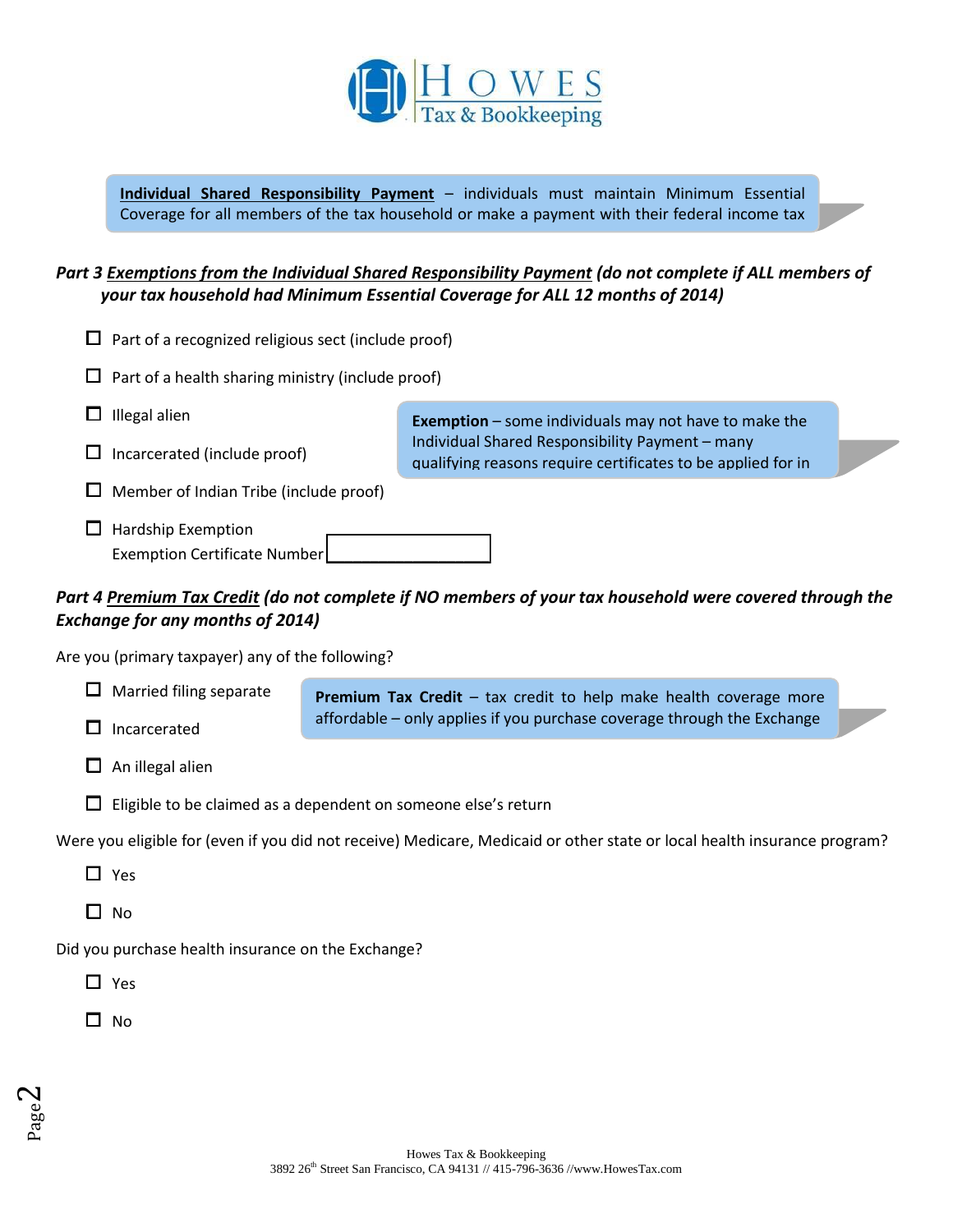

**Individual Shared Responsibility Payment** – individuals must maintain Minimum Essential Coverage for all members of the tax household or make a payment with their federal income tax

### *Part 3 Exemptions from the Individual Shared Responsibility Payment (do not complete if ALL members of your tax household had Minimum Essential Coverage for ALL 12 months of 2014)*

|                                                                                                                                                           | Part of a recognized religious sect (include proof)                                          |  |                                                                                                                 |  |  |  |  |
|-----------------------------------------------------------------------------------------------------------------------------------------------------------|----------------------------------------------------------------------------------------------|--|-----------------------------------------------------------------------------------------------------------------|--|--|--|--|
|                                                                                                                                                           | Part of a health sharing ministry (include proof)                                            |  |                                                                                                                 |  |  |  |  |
|                                                                                                                                                           | Illegal alien                                                                                |  | <b>Exemption</b> $-$ some individuals may not have to make the                                                  |  |  |  |  |
|                                                                                                                                                           | Incarcerated (include proof)                                                                 |  | Individual Shared Responsibility Payment - many<br>qualifying reasons require certificates to be applied for in |  |  |  |  |
|                                                                                                                                                           | Member of Indian Tribe (include proof)                                                       |  |                                                                                                                 |  |  |  |  |
|                                                                                                                                                           | <b>Hardship Exemption</b><br>Exemption Certificate Number                                    |  |                                                                                                                 |  |  |  |  |
| Part 4 <u>Premium Tax Credit</u> (do not complete if NO members of your tax household were covered through the<br><b>Exchange for any months of 2014)</b> |                                                                                              |  |                                                                                                                 |  |  |  |  |
| Are you (primary taxpayer) any of the following?                                                                                                          |                                                                                              |  |                                                                                                                 |  |  |  |  |
|                                                                                                                                                           | Married filing separate<br>Premium Tax Credit - tax credit to help make health coverage more |  |                                                                                                                 |  |  |  |  |
|                                                                                                                                                           | affordable - only applies if you purchase coverage through the Exchange<br>Incarcerated      |  |                                                                                                                 |  |  |  |  |
|                                                                                                                                                           | An illegal alien                                                                             |  |                                                                                                                 |  |  |  |  |
|                                                                                                                                                           | Eligible to be claimed as a dependent on someone else's return                               |  |                                                                                                                 |  |  |  |  |
| Were you eligible for (even if you did not receive) Medicare, Medicaid or other state or local health insurance program?                                  |                                                                                              |  |                                                                                                                 |  |  |  |  |
|                                                                                                                                                           | Yes                                                                                          |  |                                                                                                                 |  |  |  |  |
| $\mathsf{L}$                                                                                                                                              | No                                                                                           |  |                                                                                                                 |  |  |  |  |
| Did you purchase health insurance on the Exchange?                                                                                                        |                                                                                              |  |                                                                                                                 |  |  |  |  |
|                                                                                                                                                           | Yes                                                                                          |  |                                                                                                                 |  |  |  |  |

□ No

return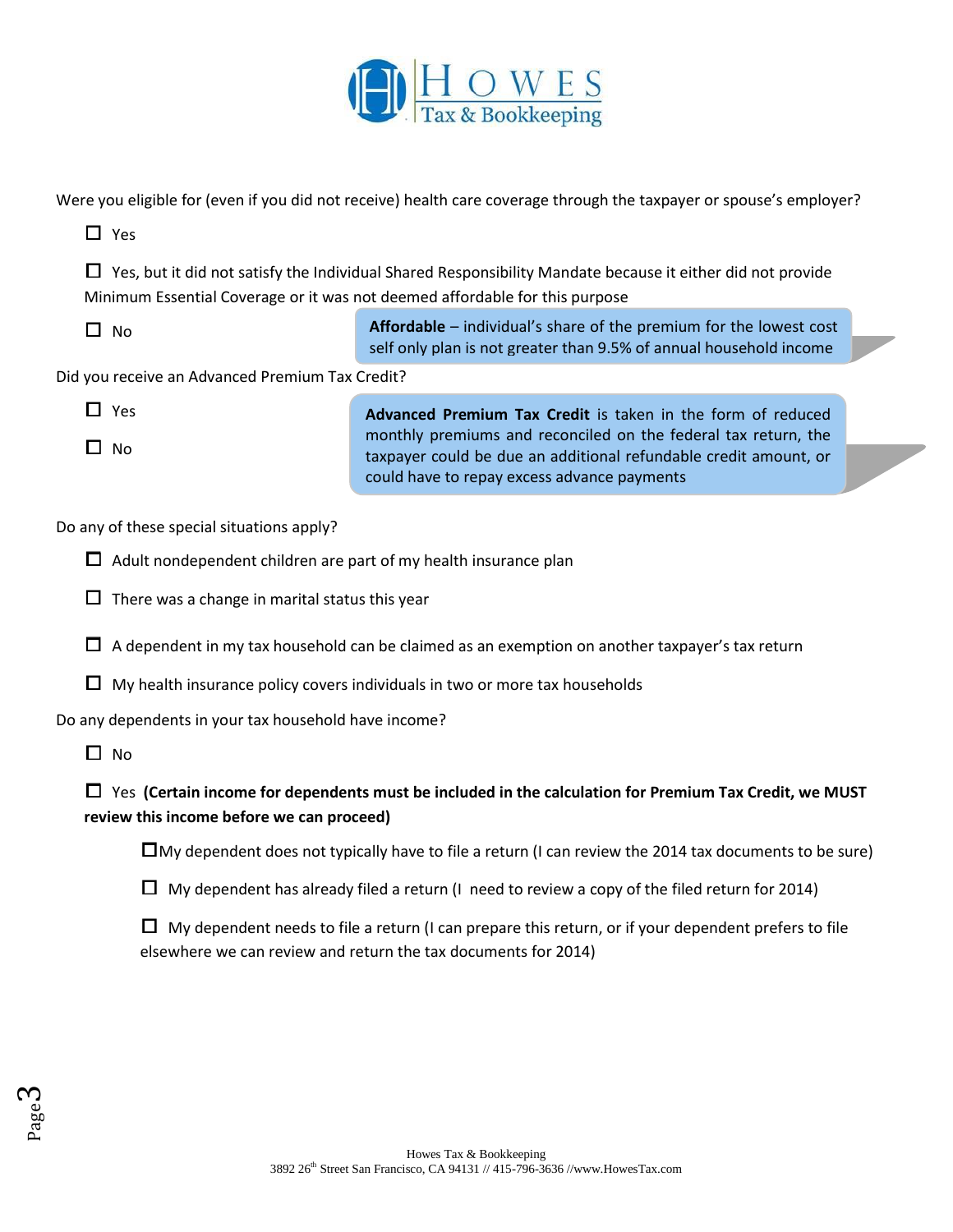

Were you eligible for (even if you did not receive) health care coverage through the taxpayer or spouse's employer?

| $\square$ Yes                                                                                                                                                                             |                                                                                                                                                                                   |  |  |  |  |  |  |  |
|-------------------------------------------------------------------------------------------------------------------------------------------------------------------------------------------|-----------------------------------------------------------------------------------------------------------------------------------------------------------------------------------|--|--|--|--|--|--|--|
| Yes, but it did not satisfy the Individual Shared Responsibility Mandate because it either did not provide<br>Minimum Essential Coverage or it was not deemed affordable for this purpose |                                                                                                                                                                                   |  |  |  |  |  |  |  |
| П<br><b>No</b>                                                                                                                                                                            | Affordable - individual's share of the premium for the lowest cost<br>self only plan is not greater than 9.5% of annual household income                                          |  |  |  |  |  |  |  |
| Did you receive an Advanced Premium Tax Credit?                                                                                                                                           |                                                                                                                                                                                   |  |  |  |  |  |  |  |
| $\Box$ Yes                                                                                                                                                                                | Advanced Premium Tax Credit is taken in the form of reduced                                                                                                                       |  |  |  |  |  |  |  |
| $\Box$<br><b>No</b>                                                                                                                                                                       | monthly premiums and reconciled on the federal tax return, the<br>taxpayer could be due an additional refundable credit amount, or<br>could have to repay excess advance payments |  |  |  |  |  |  |  |
| Do any of these special situations apply?                                                                                                                                                 |                                                                                                                                                                                   |  |  |  |  |  |  |  |
|                                                                                                                                                                                           | Adult nondependent children are part of my health insurance plan                                                                                                                  |  |  |  |  |  |  |  |
| ப                                                                                                                                                                                         | There was a change in marital status this year                                                                                                                                    |  |  |  |  |  |  |  |
|                                                                                                                                                                                           | A dependent in my tax household can be claimed as an exemption on another taxpayer's tax return                                                                                   |  |  |  |  |  |  |  |
| $\Box$                                                                                                                                                                                    | My health insurance policy covers individuals in two or more tax households                                                                                                       |  |  |  |  |  |  |  |
| Do any dependents in your tax household have income?                                                                                                                                      |                                                                                                                                                                                   |  |  |  |  |  |  |  |
| $\Box$ No                                                                                                                                                                                 |                                                                                                                                                                                   |  |  |  |  |  |  |  |
| Yes (Certain income for dependents must be included in the calculation for Premium Tax Credit, we MUST<br>review this income before we can proceed)                                       |                                                                                                                                                                                   |  |  |  |  |  |  |  |
|                                                                                                                                                                                           | $\Box$ My dependent does not typically have to file a return (I can review the 2014 tax documents to be sure)                                                                     |  |  |  |  |  |  |  |
| ப                                                                                                                                                                                         | My dependent has already filed a return (I need to review a copy of the filed return for 2014)                                                                                    |  |  |  |  |  |  |  |
| ப                                                                                                                                                                                         | My dependent needs to file a return (I can prepare this return, or if your dependent prefers to file<br>elsewhere we can review and return the tax documents for 2014)            |  |  |  |  |  |  |  |
|                                                                                                                                                                                           |                                                                                                                                                                                   |  |  |  |  |  |  |  |